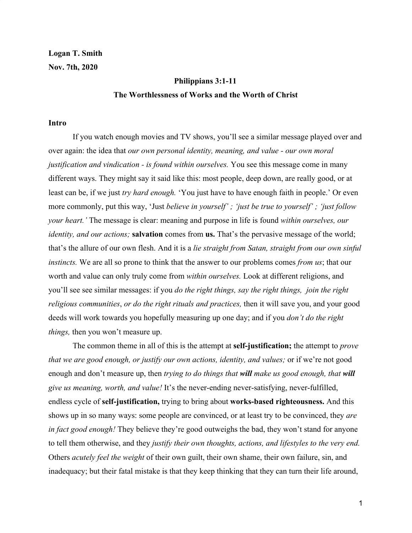**Logan T. Smith Nov. 7th, 2020**

# **Philippians 3:1-11 The Worthlessness of Works and the Worth of Christ**

#### **Intro**

If you watch enough movies and TV shows, you'll see a similar message played over and over again: the idea that *our own personal identity, meaning, and value - our own moral justification and vindication - is found within ourselves.* You see this message come in many different ways. They might say it said like this: most people, deep down, are really good, or at least can be, if we just *try hard enough.* 'You just have to have enough faith in people.' Or even more commonly, put this way, 'Just *believe in yourself' ; 'just be true to yourself' ; 'just follow your heart.'* The message is clear: meaning and purpose in life is found *within ourselves, our identity, and our actions;* **salvation** comes from **us.** That's the pervasive message of the world; that's the allure of our own flesh. And it is a *lie straight from Satan, straight from our own sinful instincts.* We are all so prone to think that the answer to our problems comes *from us*; that our worth and value can only truly come from *within ourselves.* Look at different religions, and you'll see see similar messages: if you *do the right things, say the right things, join the right religious communities*, *or do the right rituals and practices,* then it will save you, and your good deeds will work towards you hopefully measuring up one day; and if you *don't do the right things,* then you won't measure up.

The common theme in all of this is the attempt at **self-justification;** the attempt to *prove that we are good enough, or justify our own actions, identity, and values;* or if we're not good enough and don't measure up, then *trying to do things that will make us good enough, that will give us meaning, worth, and value!* It's the never-ending never-satisfying, never-fulfilled, endless cycle of **self-justification,** trying to bring about **works-based righteousness.** And this shows up in so many ways: some people are convinced, or at least try to be convinced, they *are in fact good enough!* They believe they're good outweighs the bad, they won't stand for anyone to tell them otherwise, and they *justify their own thoughts, actions, and lifestyles to the very end.* Others *acutely feel the weight* of their own guilt, their own shame, their own failure, sin, and inadequacy; but their fatal mistake is that they keep thinking that they can turn their life around,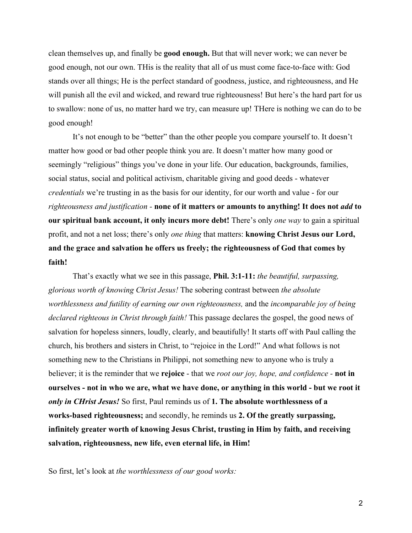clean themselves up, and finally be **good enough.** But that will never work; we can never be good enough, not our own. THis is the reality that all of us must come face-to-face with: God stands over all things; He is the perfect standard of goodness, justice, and righteousness, and He will punish all the evil and wicked, and reward true righteousness! But here's the hard part for us to swallow: none of us, no matter hard we try, can measure up! THere is nothing we can do to be good enough!

It's not enough to be "better" than the other people you compare yourself to. It doesn't matter how good or bad other people think you are. It doesn't matter how many good or seemingly "religious" things you've done in your life. Our education, backgrounds, families, social status, social and political activism, charitable giving and good deeds - whatever *credentials* we're trusting in as the basis for our identity, for our worth and value - for our *righteousness and justification -* **none of it matters or amounts to anything! It does not** *add* **to our spiritual bank account, it only incurs more debt!** There's only *one way* to gain a spiritual profit, and not a net loss; there's only *one thing* that matters: **knowing Christ Jesus our Lord, and the grace and salvation he offers us freely; the righteousness of God that comes by faith!**

That's exactly what we see in this passage, **Phil. 3:1-11:** *the beautiful, surpassing, glorious worth of knowing Christ Jesus!* The sobering contrast between *the absolute worthlessness and futility of earning our own righteousness,* and the *incomparable joy of being declared righteous in Christ through faith!* This passage declares the gospel, the good news of salvation for hopeless sinners, loudly, clearly, and beautifully! It starts off with Paul calling the church, his brothers and sisters in Christ, to "rejoice in the Lord!" And what follows is not something new to the Christians in Philippi, not something new to anyone who is truly a believer; it is the reminder that we **rejoice** - that we *root our joy, hope, and confidence -* **not in ourselves - not in who we are, what we have done, or anything in this world - but we root it** *only in CHrist Jesus!* So first, Paul reminds us of **1. The absolute worthlessness of a works-based righteousness;** and secondly, he reminds us **2. Of the greatly surpassing, infinitely greater worth of knowing Jesus Christ, trusting in Him by faith, and receiving salvation, righteousness, new life, even eternal life, in Him!**

So first, let's look at *the worthlessness of our good works:*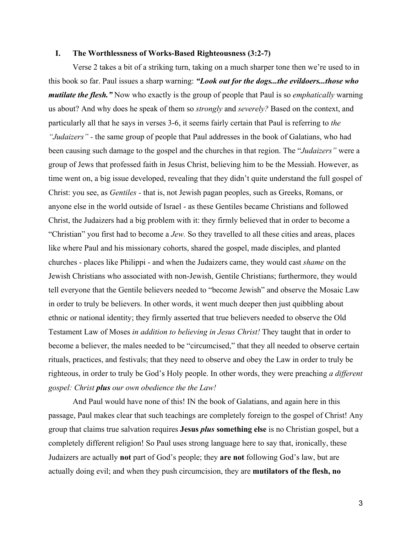## **I. The Worthlessness of Works-Based Righteousness (3:2-7)**

Verse 2 takes a bit of a striking turn, taking on a much sharper tone then we're used to in this book so far. Paul issues a sharp warning: *"Look out for the dogs...the evildoers...those who mutilate the flesh."* Now who exactly is the group of people that Paul is so *emphatically* warning us about? And why does he speak of them so *strongly* and *severely?* Based on the context, and particularly all that he says in verses 3-6, it seems fairly certain that Paul is referring to *the "Judaizers" -* the same group of people that Paul addresses in the book of Galatians, who had been causing such damage to the gospel and the churches in that region. The "*Judaizers"* were a group of Jews that professed faith in Jesus Christ, believing him to be the Messiah. However, as time went on, a big issue developed, revealing that they didn't quite understand the full gospel of Christ: you see, as *Gentiles -* that is, not Jewish pagan peoples, such as Greeks, Romans, or anyone else in the world outside of Israel - as these Gentiles became Christians and followed Christ, the Judaizers had a big problem with it: they firmly believed that in order to become a "Christian" you first had to become a *Jew.* So they travelled to all these cities and areas, places like where Paul and his missionary cohorts, shared the gospel, made disciples, and planted churches - places like Philippi - and when the Judaizers came, they would cast *shame* on the Jewish Christians who associated with non-Jewish, Gentile Christians; furthermore, they would tell everyone that the Gentile believers needed to "become Jewish" and observe the Mosaic Law in order to truly be believers. In other words, it went much deeper then just quibbling about ethnic or national identity; they firmly asserted that true believers needed to observe the Old Testament Law of Moses *in addition to believing in Jesus Christ!* They taught that in order to become a believer, the males needed to be "circumcised," that they all needed to observe certain rituals, practices, and festivals; that they need to observe and obey the Law in order to truly be righteous, in order to truly be God's Holy people. In other words, they were preaching *a different gospel: Christ plus our own obedience the the Law!*

And Paul would have none of this! IN the book of Galatians, and again here in this passage, Paul makes clear that such teachings are completely foreign to the gospel of Christ! Any group that claims true salvation requires **Jesus** *plus* **something else** is no Christian gospel, but a completely different religion! So Paul uses strong language here to say that, ironically, these Judaizers are actually **not** part of God's people; they **are not** following God's law, but are actually doing evil; and when they push circumcision, they are **mutilators of the flesh, no**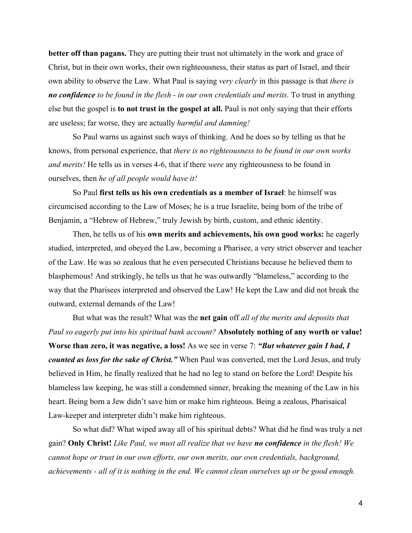**better off than pagans.** They are putting their trust not ultimately in the work and grace of Christ, but in their own works, their own righteousness, their status as part of Israel, and their own ability to observe the Law. What Paul is saying *very clearly* in this passage is that *there is no confidence to be found in the flesh - in our own credentials and merits.* To trust in anything else but the gospel is **to not trust in the gospel at all.** Paul is not only saying that their efforts are useless; far worse, they are actually *harmful and damning!*

So Paul warns us against such ways of thinking. And he does so by telling us that he knows, from personal experience, that *there is no righteousness to be found in our own works and merits!* He tells us in verses 4-6, that if there *were* any righteousness to be found in ourselves, then *he of all people would have it!*

So Paul **first tells us his own credentials as a member of Israel**: he himself was circumcised according to the Law of Moses; he is a true Israelite, being born of the tribe of Benjamin, a "Hebrew of Hebrew," truly Jewish by birth, custom, and ethnic identity.

Then, he tells us of his **own merits and achievements, his own good works:** he eagerly studied, interpreted, and obeyed the Law, becoming a Pharisee, a very strict observer and teacher of the Law. He was so zealous that he even persecuted Christians because he believed them to blasphemous! And strikingly, he tells us that he was outwardly "blameless," according to the way that the Pharisees interpreted and observed the Law! He kept the Law and did not break the outward, external demands of the Law!

But what was the result? What was the **net gain** off *all of the merits and deposits that Paul so eagerly put into his spiritual bank account?* **Absolutely nothing of any worth or value! Worse than zero, it was negative, a loss!** As we see in verse 7: *"But whatever gain I had, I counted as loss for the sake of Christ."* When Paul was converted, met the Lord Jesus, and truly believed in Him, he finally realized that he had no leg to stand on before the Lord! Despite his blameless law keeping, he was still a condemned sinner, breaking the meaning of the Law in his heart. Being born a Jew didn't save him or make him righteous. Being a zealous, Pharisaical Law-keeper and interpreter didn't make him righteous.

So what did? What wiped away all of his spiritual debts? What did he find was truly a net gain? **Only Christ!** *Like Paul, we must all realize that we have no confidence in the flesh! We cannot hope or trust in our own efforts, our own merits, our own credentials, background, achievements - all of it is nothing in the end. We cannot clean ourselves up or be good enough.*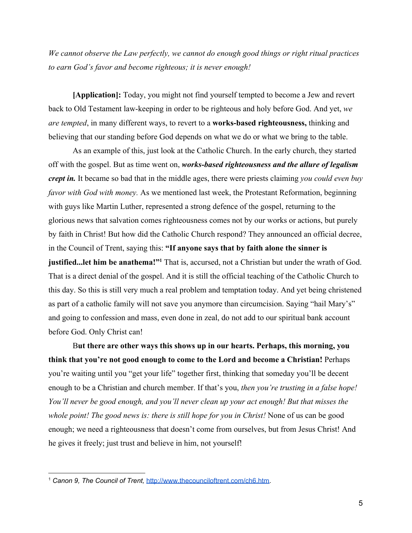*We cannot observe the Law perfectly, we cannot do enough good things or right ritual practices to earn God's favor and become righteous; it is never enough!*

**[Application]:** Today, you might not find yourself tempted to become a Jew and revert back to Old Testament law-keeping in order to be righteous and holy before God. And yet, *we are tempted*, in many different ways, to revert to a **works-based righteousness,** thinking and believing that our standing before God depends on what we do or what we bring to the table.

As an example of this, just look at the Catholic Church. In the early church, they started off with the gospel. But as time went on, *works-based righteousness and the allure of legalism crept in.* It became so bad that in the middle ages, there were priests claiming *you could even buy favor with God with money.* As we mentioned last week, the Protestant Reformation, beginning with guys like Martin Luther, represented a strong defence of the gospel, returning to the glorious news that salvation comes righteousness comes not by our works or actions, but purely by faith in Christ! But how did the Catholic Church respond? They announced an official decree, in the Council of Trent, saying this: **"If anyone says that by faith alone the sinner is justified...let him be anathema!"<sup>1</sup>** That is, accursed, not a Christian but under the wrath of God. That is a direct denial of the gospel. And it is still the official teaching of the Catholic Church to this day. So this is still very much a real problem and temptation today. And yet being christened as part of a catholic family will not save you anymore than circumcision. Saying "hail Mary's" and going to confession and mass, even done in zeal, do not add to our spiritual bank account before God. Only Christ can!

B**ut there are other ways this shows up in our hearts. Perhaps, this morning, you think that you're not good enough to come to the Lord and become a Christian!** Perhaps you're waiting until you "get your life" together first, thinking that someday you'll be decent enough to be a Christian and church member. If that's you, *then you're trusting in a false hope! You'll never be good enough, and you'll never clean up your act enough! But that misses the whole point! The good news is: there is still hope for you in Christ!* None of us can be good enough; we need a righteousness that doesn't come from ourselves, but from Jesus Christ! And he gives it freely; just trust and believe in him, not yourself!

<sup>1</sup> *Canon 9, The Council of Trent,* <http://www.thecounciloftrent.com/ch6.htm>.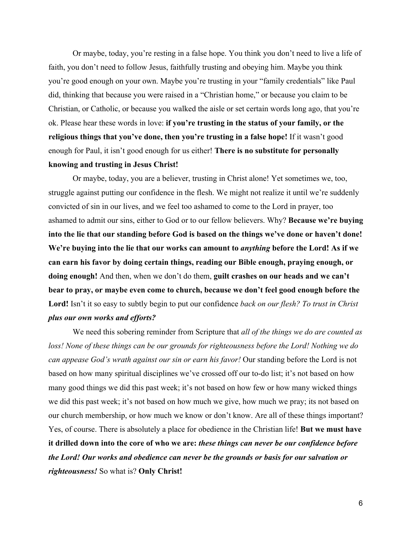Or maybe, today, you're resting in a false hope. You think you don't need to live a life of faith, you don't need to follow Jesus, faithfully trusting and obeying him. Maybe you think you're good enough on your own. Maybe you're trusting in your "family credentials" like Paul did, thinking that because you were raised in a "Christian home," or because you claim to be Christian, or Catholic, or because you walked the aisle or set certain words long ago, that you're ok. Please hear these words in love: **if you're trusting in the status of your family, or the religious things that you've done, then you're trusting in a false hope!** If it wasn't good enough for Paul, it isn't good enough for us either! **There is no substitute for personally knowing and trusting in Jesus Christ!**

Or maybe, today, you are a believer, trusting in Christ alone! Yet sometimes we, too, struggle against putting our confidence in the flesh. We might not realize it until we're suddenly convicted of sin in our lives, and we feel too ashamed to come to the Lord in prayer, too ashamed to admit our sins, either to God or to our fellow believers. Why? **Because we're buying into the lie that our standing before God is based on the things we've done or haven't done! We're buying into the lie that our works can amount to** *anything* **before the Lord! As if we can earn his favor by doing certain things, reading our Bible enough, praying enough, or doing enough!** And then, when we don't do them, **guilt crashes on our heads and we can't bear to pray, or maybe even come to church, because we don't feel good enough before the Lord!** Isn't it so easy to subtly begin to put our confidence *back on our flesh? To trust in Christ plus our own works and efforts?*

We need this sobering reminder from Scripture that *all of the things we do are counted as loss! None of these things can be our grounds for righteousness before the Lord! Nothing we do can appease God's wrath against our sin or earn his favor!* Our standing before the Lord is not based on how many spiritual disciplines we've crossed off our to-do list; it's not based on how many good things we did this past week; it's not based on how few or how many wicked things we did this past week; it's not based on how much we give, how much we pray; its not based on our church membership, or how much we know or don't know. Are all of these things important? Yes, of course. There is absolutely a place for obedience in the Christian life! **But we must have it drilled down into the core of who we are:** *these things can never be our confidence before the Lord! Our works and obedience can never be the grounds or basis for our salvation or righteousness!* So what is? **Only Christ!**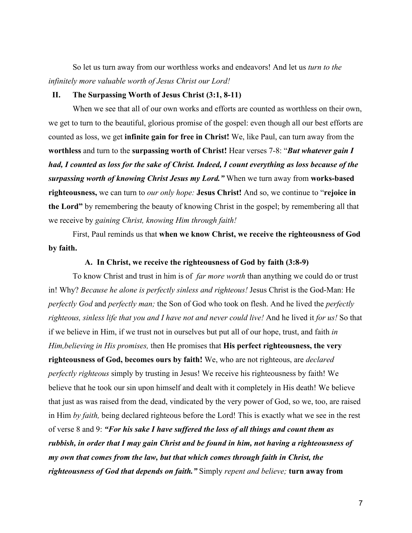So let us turn away from our worthless works and endeavors! And let us *turn to the infinitely more valuable worth of Jesus Christ our Lord!*

### **II. The Surpassing Worth of Jesus Christ (3:1, 8-11)**

When we see that all of our own works and efforts are counted as worthless on their own, we get to turn to the beautiful, glorious promise of the gospel: even though all our best efforts are counted as loss, we get **infinite gain for free in Christ!** We, like Paul, can turn away from the **worthless** and turn to the **surpassing worth of Christ!** Hear verses 7-8: "*But whatever gain I had, I counted as loss for the sake of Christ. Indeed, I count everything as loss because of the surpassing worth of knowing Christ Jesus my Lord."* When we turn away from **works-based righteousness,** we can turn to *our only hope:* **Jesus Christ!** And so, we continue to "**rejoice in the Lord"** by remembering the beauty of knowing Christ in the gospel; by remembering all that we receive by *gaining Christ, knowing Him through faith!*

First, Paul reminds us that **when we know Christ, we receive the righteousness of God by faith.**

### **A. In Christ, we receive the righteousness of God by faith (3:8-9)**

To know Christ and trust in him is of *far more worth* than anything we could do or trust in! Why? *Because he alone is perfectly sinless and righteous!* Jesus Christ is the God-Man: He *perfectly God* and *perfectly man;* the Son of God who took on flesh. And he lived the *perfectly righteous, sinless life that you and I have not and never could live!* And he lived it *for us!* So that if we believe in Him, if we trust not in ourselves but put all of our hope, trust, and faith *in Him,believing in His promises,* then He promises that **His perfect righteousness, the very righteousness of God, becomes ours by faith!** We, who are not righteous, are *declared perfectly righteous* simply by trusting in Jesus! We receive his righteousness by faith! We believe that he took our sin upon himself and dealt with it completely in His death! We believe that just as was raised from the dead, vindicated by the very power of God, so we, too, are raised in Him *by faith,* being declared righteous before the Lord! This is exactly what we see in the rest of verse 8 and 9: *"For his sake I have suffered the loss of all things and count them as rubbish, in order that I may gain Christ and be found in him, not having a righteousness of my own that comes from the law, but that which comes through faith in Christ, the righteousness of God that depends on faith."* Simply *repent and believe;* **turn away from**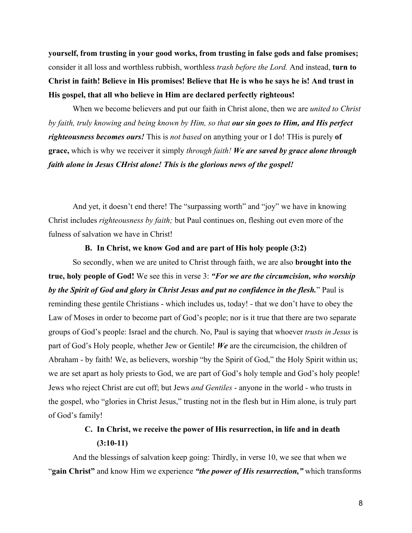**yourself, from trusting in your good works, from trusting in false gods and false promises;** consider it all loss and worthless rubbish, worthless *trash before the Lord.* And instead, **turn to Christ in faith! Believe in His promises! Believe that He is who he says he is! And trust in His gospel, that all who believe in Him are declared perfectly righteous!**

When we become believers and put our faith in Christ alone, then we are *united to Christ by faith, truly knowing and being known by Him, so that our sin goes to Him, and His perfect righteousness becomes ours!* This is *not based* on anything your or I do! THis is purely **of grace,** which is why we receiver it simply *through faith! We are saved by grace alone through faith alone in Jesus CHrist alone! This is the glorious news of the gospel!*

And yet, it doesn't end there! The "surpassing worth" and "joy" we have in knowing Christ includes *righteousness by faith;* but Paul continues on, fleshing out even more of the fulness of salvation we have in Christ!

#### **B. In Christ, we know God and are part of His holy people (3:2)**

So secondly, when we are united to Christ through faith, we are also **brought into the true, holy people of God!** We see this in verse 3: *"For we are the circumcision, who worship by the Spirit of God and glory in Christ Jesus and put no confidence in the flesh.*" Paul is reminding these gentile Christians - which includes us, today! - that we don't have to obey the Law of Moses in order to become part of God's people; nor is it true that there are two separate groups of God's people: Israel and the church. No, Paul is saying that whoever *trusts in Jesus* is part of God's Holy people, whether Jew or Gentile! *We* are the circumcision, the children of Abraham - by faith! We, as believers, worship "by the Spirit of God," the Holy Spirit within us; we are set apart as holy priests to God, we are part of God's holy temple and God's holy people! Jews who reject Christ are cut off; but Jews *and Gentiles* - anyone in the world - who trusts in the gospel, who "glories in Christ Jesus," trusting not in the flesh but in Him alone, is truly part of God's family!

# **C. In Christ, we receive the power of His resurrection, in life and in death (3:10-11)**

And the blessings of salvation keep going: Thirdly, in verse 10, we see that when we "**gain Christ"** and know Him we experience *"the power of His resurrection,"* which transforms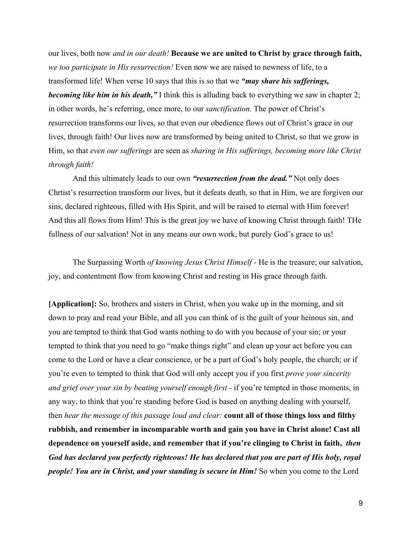our lives, both now *and in our death!* **Because we are united to Christ by grace through faith,** *we too participate in His resurrection!* Even now we are raised to newness of life, to a transformed life! When verse 10 says that this is so that we *"may share his sufferings, becoming like him in his death,"* I think this is alluding back to everything we saw in chapter 2; in other words, he's referring, once more, to our *sanctification.* The power of Christ's resurrection transforms our lives, so that even our obedience flows out of Christ's grace in our lives, through faith! Our lives now are transformed by being united to Christ, so that we grow in Him, so that *even our sufferings* are seen as *sharing in His sufferings, becoming more like Christ through faith!*

And this ultimately leads to our own *"resurrection from the dead."* Not only does Chrtist's resurrection transform our lives, but it defeats death, so that in Him, we are forgiven our sins, declared righteous, filled with His Spirit, and will be raised to eternal with Him forever! And this all flows from Him! This is the great joy we have of knowing Christ through faith! THe fullness of our salvation! Not in any means our own work, but purely God's grace to us!

The Surpassing Worth *of knowing Jesus Christ Himself -* He is the treasure; our salvation, joy, and contentment flow from knowing Christ and resting in His grace through faith.

**[Application]:** So, brothers and sisters in Christ, when you wake up in the morning, and sit down to pray and read your Bible, and all you can think of is the guilt of your heinous sin, and you are tempted to think that God wants nothing to do with you because of your sin; or your tempted to think that you need to go "make things right" and clean up your act before you can come to the Lord or have a clear conscience, or be a part of God's holy people, the church; or if you're even to tempted to think that God will only accept you if you first *prove your sincerity and grief over your sin by beating yourself enough first -* if you're tempted in those moments, in any way, to think that you're standing before God is based on anything dealing with yourself, then *hear the message of this passage loud and clear:* **count all of those things loss and filthy rubbish, and remember in incomparable worth and gain you have in Christ alone! Cast all dependence on yourself aside, and remember that if you're clinging to Christ in faith,** *then God has declared you perfectly righteous! He has declared that you are part of His holy, royal people! You are in Christ, and your standing is secure in Him!* So when you come to the Lord